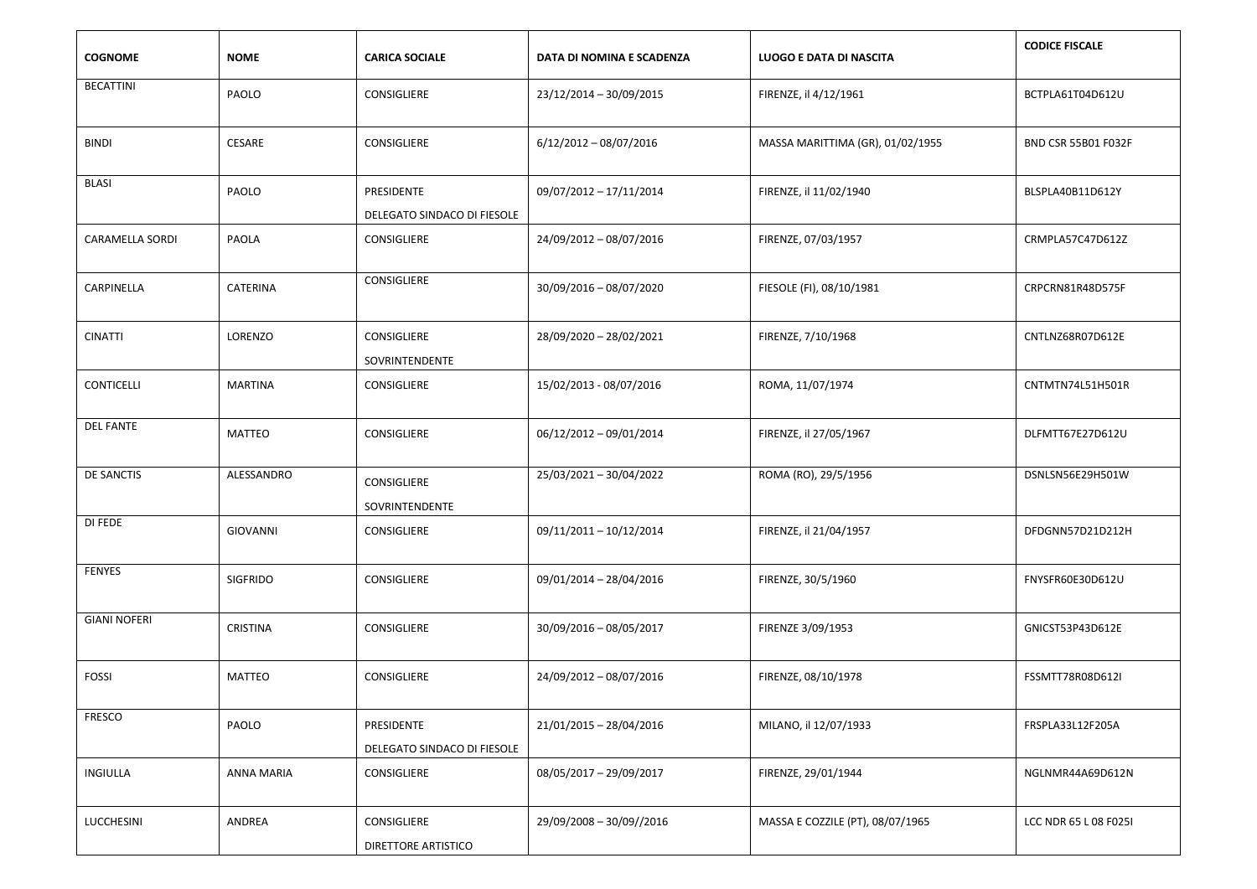| <b>COGNOME</b>         | <b>NOME</b>     | <b>CARICA SOCIALE</b>                     | DATA DI NOMINA E SCADENZA | LUOGO E DATA DI NASCITA          | <b>CODICE FISCALE</b>      |
|------------------------|-----------------|-------------------------------------------|---------------------------|----------------------------------|----------------------------|
| <b>BECATTINI</b>       | PAOLO           | CONSIGLIERE                               | 23/12/2014 - 30/09/2015   | FIRENZE, il 4/12/1961            | BCTPLA61T04D612U           |
| <b>BINDI</b>           | CESARE          | CONSIGLIERE                               | $6/12/2012 - 08/07/2016$  | MASSA MARITTIMA (GR), 01/02/1955 | <b>BND CSR 55B01 F032F</b> |
| <b>BLASI</b>           | PAOLO           | PRESIDENTE<br>DELEGATO SINDACO DI FIESOLE | 09/07/2012 - 17/11/2014   | FIRENZE, il 11/02/1940           | BLSPLA40B11D612Y           |
| <b>CARAMELLA SORDI</b> | PAOLA           | CONSIGLIERE                               | 24/09/2012 - 08/07/2016   | FIRENZE, 07/03/1957              | CRMPLA57C47D612Z           |
| CARPINELLA             | CATERINA        | CONSIGLIERE                               | 30/09/2016 - 08/07/2020   | FIESOLE (FI), 08/10/1981         | CRPCRN81R48D575F           |
| <b>CINATTI</b>         | LORENZO         | CONSIGLIERE<br>SOVRINTENDENTE             | 28/09/2020 - 28/02/2021   | FIRENZE, 7/10/1968               | CNTLNZ68R07D612E           |
| CONTICELLI             | <b>MARTINA</b>  | CONSIGLIERE                               | 15/02/2013 - 08/07/2016   | ROMA, 11/07/1974                 | CNTMTN74L51H501R           |
| <b>DEL FANTE</b>       | <b>MATTEO</b>   | CONSIGLIERE                               | 06/12/2012 - 09/01/2014   | FIRENZE, il 27/05/1967           | DLFMTT67E27D612U           |
| <b>DE SANCTIS</b>      | ALESSANDRO      | CONSIGLIERE<br>SOVRINTENDENTE             | 25/03/2021 - 30/04/2022   | ROMA (RO), 29/5/1956             | DSNLSN56E29H501W           |
| DI FEDE                | <b>GIOVANNI</b> | CONSIGLIERE                               | 09/11/2011 - 10/12/2014   | FIRENZE, il 21/04/1957           | DFDGNN57D21D212H           |
| FENYES                 | <b>SIGFRIDO</b> | CONSIGLIERE                               | 09/01/2014 - 28/04/2016   | FIRENZE, 30/5/1960               | FNYSFR60E30D612U           |
| <b>GIANI NOFERI</b>    | <b>CRISTINA</b> | CONSIGLIERE                               | 30/09/2016 - 08/05/2017   | FIRENZE 3/09/1953                | GNICST53P43D612E           |
| <b>FOSSI</b>           | <b>MATTEO</b>   | CONSIGLIERE                               | 24/09/2012 - 08/07/2016   | FIRENZE, 08/10/1978              | FSSMTT78R08D612I           |
| FRESCO                 | PAOLO           | PRESIDENTE<br>DELEGATO SINDACO DI FIESOLE | 21/01/2015 - 28/04/2016   | MILANO, il 12/07/1933            | FRSPLA33L12F205A           |
| INGIULLA               | ANNA MARIA      | CONSIGLIERE                               | 08/05/2017 - 29/09/2017   | FIRENZE, 29/01/1944              | NGLNMR44A69D612N           |
| LUCCHESINI             | ANDREA          | CONSIGLIERE<br>DIRETTORE ARTISTICO        | 29/09/2008 - 30/09//2016  | MASSA E COZZILE (PT), 08/07/1965 | LCC NDR 65 L 08 F025I      |